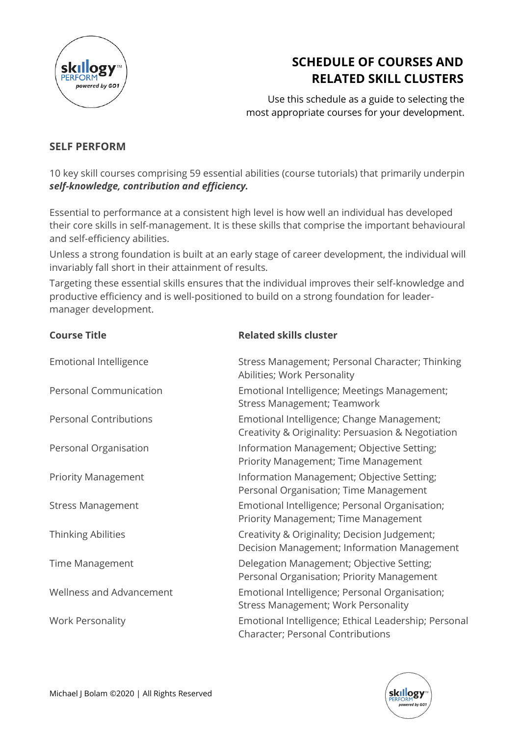

## **SCHEDULE OF COURSES AND RELATED SKILL CLUSTERS**

Use this schedule as a guide to selecting the most appropriate courses for your development.

## **SELF PERFORM**

10 key skill courses comprising 59 essential abilities (course tutorials) that primarily underpin *self-knowledge, contribution and efficiency.*

Essential to performance at a consistent high level is how well an individual has developed their core skills in self-management. It is these skills that comprise the important behavioural and self-efficiency abilities.

Unless a strong foundation is built at an early stage of career development, the individual will invariably fall short in their attainment of results.

Targeting these essential skills ensures that the individual improves their self-knowledge and productive efficiency and is well-positioned to build on a strong foundation for leadermanager development.

**Course Title Related skills cluster**

| <b>Emotional Intelligence</b> | Stress Management; Personal Character; Thinking<br>Abilities; Work Personality                   |
|-------------------------------|--------------------------------------------------------------------------------------------------|
| <b>Personal Communication</b> | Emotional Intelligence; Meetings Management;<br><b>Stress Management; Teamwork</b>               |
| <b>Personal Contributions</b> | Emotional Intelligence; Change Management;<br>Creativity & Originality: Persuasion & Negotiation |
| Personal Organisation         | Information Management; Objective Setting;<br>Priority Management; Time Management               |
| <b>Priority Management</b>    | Information Management; Objective Setting;<br>Personal Organisation; Time Management             |
| <b>Stress Management</b>      | Emotional Intelligence; Personal Organisation;<br>Priority Management; Time Management           |
| <b>Thinking Abilities</b>     | Creativity & Originality; Decision Judgement;<br>Decision Management; Information Management     |
| <b>Time Management</b>        | Delegation Management; Objective Setting;<br>Personal Organisation; Priority Management          |
| Wellness and Advancement      | Emotional Intelligence; Personal Organisation;<br>Stress Management; Work Personality            |
| <b>Work Personality</b>       | Emotional Intelligence; Ethical Leadership; Personal<br><b>Character; Personal Contributions</b> |

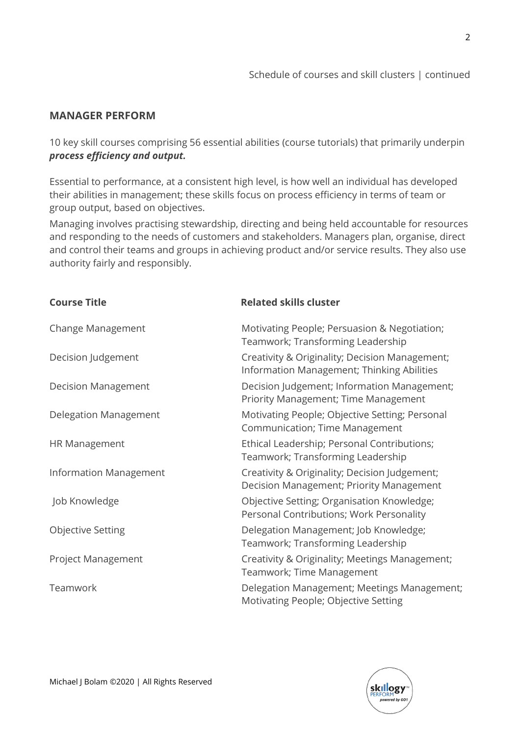$\mathcal{P}$ 

## **MANAGER PERFORM**

10 key skill courses comprising 56 essential abilities (course tutorials) that primarily underpin *process efficiency and output.*

Essential to performance, at a consistent high level, is how well an individual has developed their abilities in management; these skills focus on process efficiency in terms of team or group output, based on objectives.

Managing involves practising stewardship, directing and being held accountable for resources and responding to the needs of customers and stakeholders. Managers plan, organise, direct and control their teams and groups in achieving product and/or service results. They also use authority fairly and responsibly.

| <b>Course Title</b>           | <b>Related skills cluster</b>                                                                |
|-------------------------------|----------------------------------------------------------------------------------------------|
| Change Management             | Motivating People; Persuasion & Negotiation;<br>Teamwork; Transforming Leadership            |
| Decision Judgement            | Creativity & Originality; Decision Management;<br>Information Management; Thinking Abilities |
| <b>Decision Management</b>    | Decision Judgement; Information Management;<br>Priority Management; Time Management          |
| Delegation Management         | Motivating People; Objective Setting; Personal<br>Communication; Time Management             |
| <b>HR Management</b>          | Ethical Leadership; Personal Contributions;<br>Teamwork; Transforming Leadership             |
| <b>Information Management</b> | Creativity & Originality; Decision Judgement;<br>Decision Management; Priority Management    |
| Job Knowledge                 | Objective Setting; Organisation Knowledge;<br>Personal Contributions; Work Personality       |
| <b>Objective Setting</b>      | Delegation Management; Job Knowledge;<br>Teamwork; Transforming Leadership                   |
| Project Management            | Creativity & Originality; Meetings Management;<br>Teamwork; Time Management                  |
| Teamwork                      | Delegation Management; Meetings Management;<br>Motivating People; Objective Setting          |